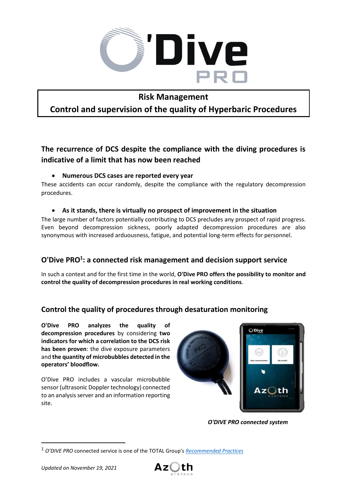

## **Risk Management**

# **Control and supervision of the quality of Hyperbaric Procedures**

# **The recurrence of DCS despite the compliance with the diving procedures is indicative of a limit that has now been reached**

#### • **Numerous DCS cases are reported every year**

These accidents can occur randomly, despite the compliance with the regulatory decompression procedures.

#### • **As it stands, there is virtually no prospect of improvement in the situation**

The large number of factors potentially contributing to DCS precludes any prospect of rapid progress. Even beyond decompression sickness, poorly adapted decompression procedures are also synonymous with increased arduousness, fatigue, and potential long-term effects for personnel.

### **O'Dive PRO<sup>1</sup> : a connected risk management and decision support service**

In such a context and for the first time in the world, **O'Dive PRO offers the possibility to monitor and control the quality of decompression procedures in real working conditions**.

### **Control the quality of procedures through desaturation monitoring**

**O'Dive PRO analyzes the quality of decompression procedures** by considering **two indicators for which a correlation to the DCS risk has been proven**: the dive exposure parameters and **the quantity of microbubbles detected in the operators' bloodflow.** 

O'Dive PRO includes a vascular microbubble sensor (ultrasonic Doppler technology) connected to an analysis server and an information reporting site.



*O'DIVE PRO connected system* 



<sup>1</sup> *O'DIVE PRO* connected service is one of the TOTAL Group's *[Recommended Practices](https://www.azoth-systems.com/wp-content/uploads/sites/6/2020/10/TOTAL-DGEP-Diving-Safety-Flash-No-5-2020.pdf)*